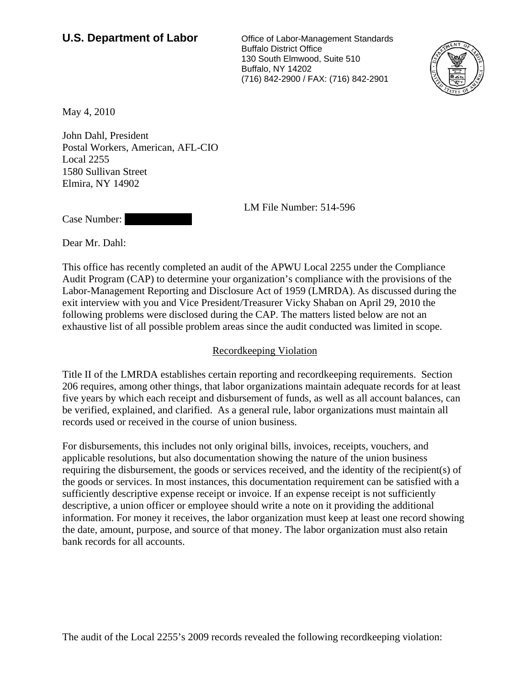## **U.S. Department of Labor** Office of Labor-Management Standards

 Buffalo District Office 130 South Elmwood, Suite 510 Buffalo, NY 14202 (716) 842-2900 / FAX: (716) 842-2901



May 4, 2010

John Dahl, President Postal Workers, American, AFL-CIO Local 2255 1580 Sullivan Street Elmira, NY 14902

LM File Number: 514-596

Case Number:

Dear Mr. Dahl:

This office has recently completed an audit of the APWU Local 2255 under the Compliance Audit Program (CAP) to determine your organization's compliance with the provisions of the Labor-Management Reporting and Disclosure Act of 1959 (LMRDA). As discussed during the exit interview with you and Vice President/Treasurer Vicky Shaban on April 29, 2010 the following problems were disclosed during the CAP. The matters listed below are not an exhaustive list of all possible problem areas since the audit conducted was limited in scope.

## Recordkeeping Violation

Title II of the LMRDA establishes certain reporting and recordkeeping requirements. Section 206 requires, among other things, that labor organizations maintain adequate records for at least five years by which each receipt and disbursement of funds, as well as all account balances, can be verified, explained, and clarified. As a general rule, labor organizations must maintain all records used or received in the course of union business.

For disbursements, this includes not only original bills, invoices, receipts, vouchers, and applicable resolutions, but also documentation showing the nature of the union business requiring the disbursement, the goods or services received, and the identity of the recipient(s) of the goods or services. In most instances, this documentation requirement can be satisfied with a sufficiently descriptive expense receipt or invoice. If an expense receipt is not sufficiently descriptive, a union officer or employee should write a note on it providing the additional information. For money it receives, the labor organization must keep at least one record showing the date, amount, purpose, and source of that money. The labor organization must also retain bank records for all accounts.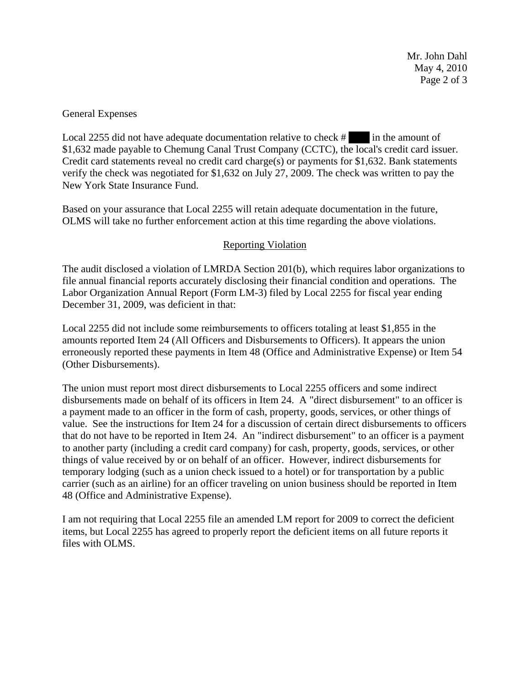Mr. John Dahl May 4, 2010 Page 2 of 3

## General Expenses

Local 2255 did not have adequate documentation relative to check # |||||||||| in the amount of \$1,632 made payable to Chemung Canal Trust Company (CCTC), the local's credit card issuer. Credit card statements reveal no credit card charge(s) or payments for \$1,632. Bank statements verify the check was negotiated for \$1,632 on July 27, 2009. The check was written to pay the New York State Insurance Fund.

Based on your assurance that Local 2255 will retain adequate documentation in the future, OLMS will take no further enforcement action at this time regarding the above violations.

## Reporting Violation

The audit disclosed a violation of LMRDA Section 201(b), which requires labor organizations to file annual financial reports accurately disclosing their financial condition and operations. The Labor Organization Annual Report (Form LM-3) filed by Local 2255 for fiscal year ending December 31, 2009, was deficient in that:

Local 2255 did not include some reimbursements to officers totaling at least \$1,855 in the amounts reported Item 24 (All Officers and Disbursements to Officers). It appears the union erroneously reported these payments in Item 48 (Office and Administrative Expense) or Item 54 (Other Disbursements).

The union must report most direct disbursements to Local 2255 officers and some indirect disbursements made on behalf of its officers in Item 24. A "direct disbursement" to an officer is a payment made to an officer in the form of cash, property, goods, services, or other things of value. See the instructions for Item 24 for a discussion of certain direct disbursements to officers that do not have to be reported in Item 24. An "indirect disbursement" to an officer is a payment to another party (including a credit card company) for cash, property, goods, services, or other things of value received by or on behalf of an officer. However, indirect disbursements for temporary lodging (such as a union check issued to a hotel) or for transportation by a public carrier (such as an airline) for an officer traveling on union business should be reported in Item 48 (Office and Administrative Expense).

I am not requiring that Local 2255 file an amended LM report for 2009 to correct the deficient items, but Local 2255 has agreed to properly report the deficient items on all future reports it files with OLMS.